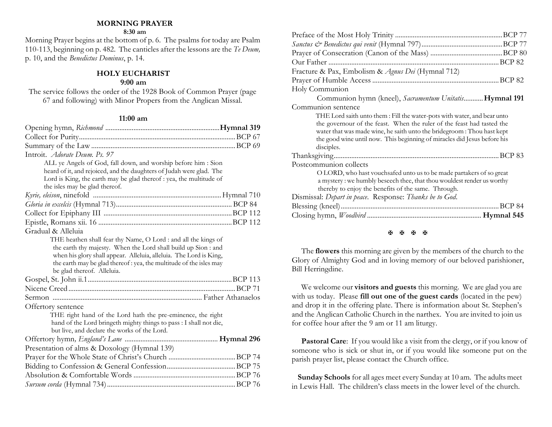### **MORNING PRAYER**

#### **8:30 am**

Morning Prayer begins at the bottom of p. 6. The psalms for today are Psalm 110-113, beginning on p. 482. The canticles after the lessons are the *Te Deum,* p. 10, and the *Benedictus Dominus*, p. 14.

## **HOLY EUCHARIST**

#### **9:00 am**

The service follows the order of the 1928 Book of Common Prayer (page 67 and following) with Minor Propers from the Anglican Missal.

#### **11:00 am**

| Introit. <i>Adorate Deum. Ps. 97</i>                                                                                                                                                                                                                                                                       |  |
|------------------------------------------------------------------------------------------------------------------------------------------------------------------------------------------------------------------------------------------------------------------------------------------------------------|--|
| ALL ye Angels of God, fall down, and worship before him : Sion                                                                                                                                                                                                                                             |  |
| heard of it, and rejoiced, and the daughters of Judah were glad. The                                                                                                                                                                                                                                       |  |
| Lord is King, the earth may be glad thereof : yea, the multitude of                                                                                                                                                                                                                                        |  |
| the isles may be glad thereof.                                                                                                                                                                                                                                                                             |  |
|                                                                                                                                                                                                                                                                                                            |  |
|                                                                                                                                                                                                                                                                                                            |  |
|                                                                                                                                                                                                                                                                                                            |  |
|                                                                                                                                                                                                                                                                                                            |  |
| Gradual & Alleluia                                                                                                                                                                                                                                                                                         |  |
| THE heathen shall fear thy Name, O Lord : and all the kings of<br>the earth thy majesty. When the Lord shall build up Sion : and<br>when his glory shall appear. Alleluia, alleluia. The Lord is King,<br>the earth may be glad thereof: yea, the multitude of the isles may<br>be glad thereof. Alleluia. |  |
|                                                                                                                                                                                                                                                                                                            |  |
|                                                                                                                                                                                                                                                                                                            |  |
|                                                                                                                                                                                                                                                                                                            |  |
| Offertory sentence                                                                                                                                                                                                                                                                                         |  |
| THE right hand of the Lord hath the pre-eminence, the right                                                                                                                                                                                                                                                |  |
| hand of the Lord bringeth mighty things to pass : I shall not die,                                                                                                                                                                                                                                         |  |
| but live, and declare the works of the Lord.                                                                                                                                                                                                                                                               |  |
|                                                                                                                                                                                                                                                                                                            |  |
| Presentation of alms & Doxology (Hymnal 139)                                                                                                                                                                                                                                                               |  |
|                                                                                                                                                                                                                                                                                                            |  |
|                                                                                                                                                                                                                                                                                                            |  |
|                                                                                                                                                                                                                                                                                                            |  |
|                                                                                                                                                                                                                                                                                                            |  |

| Fracture & Pax, Embolism & Agnus Dei (Hymnal 712)                                                                                                                                                                                                                                                                       |
|-------------------------------------------------------------------------------------------------------------------------------------------------------------------------------------------------------------------------------------------------------------------------------------------------------------------------|
|                                                                                                                                                                                                                                                                                                                         |
| Holy Communion                                                                                                                                                                                                                                                                                                          |
| Communion hymn (kneel), Sacramentum Unitatis Hymnal 191                                                                                                                                                                                                                                                                 |
| Communion sentence                                                                                                                                                                                                                                                                                                      |
| THE Lord saith unto them : Fill the water-pots with water, and bear unto<br>the governour of the feast. When the ruler of the feast had tasted the<br>water that was made wine, he saith unto the bridegroom : Thou hast kept<br>the good wine until now. This beginning of miracles did Jesus before his<br>disciples. |
|                                                                                                                                                                                                                                                                                                                         |
| Postcommunion collects                                                                                                                                                                                                                                                                                                  |
| O LORD, who hast vouchsafed unto us to be made partakers of so great<br>a mystery: we humbly beseech thee, that thou wouldest render us worthy<br>thereby to enjoy the benefits of the same. Through.                                                                                                                   |
| Dismissal: Depart in peace. Response: Thanks be to God.                                                                                                                                                                                                                                                                 |
| .BCP 84                                                                                                                                                                                                                                                                                                                 |
|                                                                                                                                                                                                                                                                                                                         |
|                                                                                                                                                                                                                                                                                                                         |

### 图图图图

The **flowers** this morning are given by the members of the church to the Glory of Almighty God and in loving memory of our beloved parishioner, Bill Herringdine.

We welcome our **visitors and guests** this morning. We are glad you are with us today. Please **fill out one of the guest cards** (located in the pew) and drop it in the offering plate. There is information about St. Stephen's and the Anglican Catholic Church in the narthex. You are invited to join us for coffee hour after the 9 am or 11 am liturgy.

**Pastoral Care:** If you would like a visit from the clergy, or if you know of someone who is sick or shut in, or if you would like someone put on the parish prayer list, please contact the Church office.

 **Sunday Schools** for all ages meet every Sunday at 10 am. The adults meet in Lewis Hall. The children's class meets in the lower level of the church.